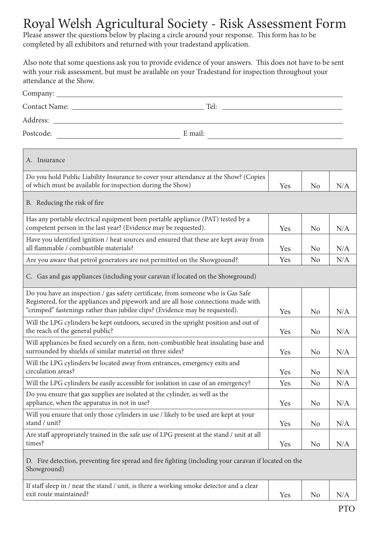## Royal Welsh Agricultural Society - Risk Assessment Form

Please answer the questions below by placing a circle around your response. This form has to be completed by all exhibitors and returned with your tradestand application.

Also note that some questions ask you to provide evidence of your answers. This does not have to be sent with your risk assessment, but must be available on your Tradestand for inspection throughout your attendance at the Show.

| Company:             |         |
|----------------------|---------|
| <b>Contact Name:</b> | Tel:    |
| Address:             |         |
| Postcode:            | E mail: |

| A. Insurance                                                                                                                                                                                                                                           |     |                |     |  |
|--------------------------------------------------------------------------------------------------------------------------------------------------------------------------------------------------------------------------------------------------------|-----|----------------|-----|--|
| Do you hold Public Liability Insurance to cover your attendance at the Show? (Copies<br>of which must be available for inspection during the Show)                                                                                                     | Yes | N <sub>o</sub> | N/A |  |
| B. Reducing the risk of fire                                                                                                                                                                                                                           |     |                |     |  |
| Has any portable electrical equipment been portable appliance (PAT) tested by a<br>competent person in the last year? (Evidence may be requested).                                                                                                     | Yes | N <sub>o</sub> | N/A |  |
| Have you identified ignition / heat sources and ensured that these are kept away from<br>all flammable / combustible materials?                                                                                                                        | Yes | N <sub>o</sub> | N/A |  |
| Are you aware that petrol generators are not permitted on the Showground?                                                                                                                                                                              | Yes | N <sub>o</sub> | N/A |  |
| C. Gas and gas appliances (including your caravan if located on the Showground)                                                                                                                                                                        |     |                |     |  |
| Do you have an inspection / gas safety certificate, from someone who is Gas Safe<br>Registered, for the appliances and pipework and are all hose connections made with<br>"crimped" fastenings rather than jubilee clips? (Evidence may be requested). | Yes | N <sub>o</sub> | N/A |  |
| Will the LPG cylinders be kept outdoors, secured in the upright position and out of<br>the reach of the general public?                                                                                                                                | Yes | N <sub>o</sub> | N/A |  |
| Will appliances be fixed securely on a firm, non-combustible heat insulating base and<br>surrounded by shields of similar material on three sides?                                                                                                     | Yes | N <sub>o</sub> | N/A |  |
| Will the LPG cylinders be located away from entrances, emergency exits and<br>circulation areas?                                                                                                                                                       | Yes | N <sub>o</sub> | N/A |  |
| Will the LPG cylinders be easily accessible for isolation in case of an emergency?                                                                                                                                                                     | Yes | N <sub>o</sub> | N/A |  |
| Do you ensure that gas supplies are isolated at the cylinder, as well as the<br>appliance, when the apparatus in not in use?                                                                                                                           | Yes | N <sub>o</sub> | N/A |  |
| Will you ensure that only those cylinders in use / likely to be used are kept at your<br>stand / unit?                                                                                                                                                 | Yes | N <sub>o</sub> | N/A |  |
| Are staff appropriately trained in the safe use of LPG present at the stand / unit at all<br>times?                                                                                                                                                    | Yes | N <sub>o</sub> | N/A |  |
| D. Fire detection, preventing fire spread and fire fighting (including your caravan if located on the<br>Showground)                                                                                                                                   |     |                |     |  |
| If staff sleep in / near the stand / unit, is there a working smoke detector and a clear                                                                                                                                                               |     |                |     |  |